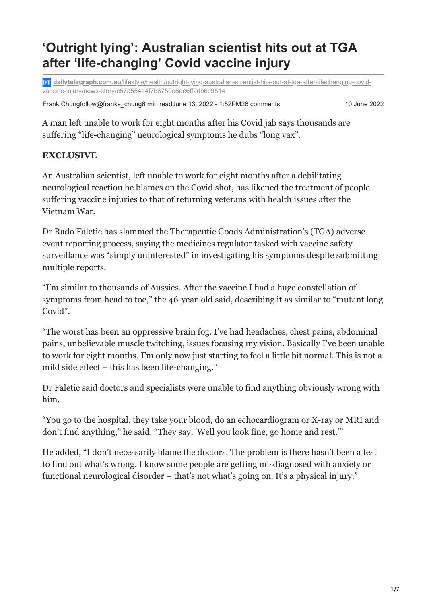# **'Outright lying': Australian scientist hits out at TGA after 'life-changing' Covid vaccine injury**

**DT** dailytelegraph.com.au[/lifestyle/health/outright-lying-australian-scientist-hits-out-at-tga-after-lifechanging-covid](https://www.dailytelegraph.com.au/lifestyle/health/outright-lying-australian-scientist-hits-out-at-tga-after-lifechanging-covid-vaccine-injury/news-story/c57a554e4f7b6750e8ae6ff2db6c9514)vaccine-injury/news-story/c57a554e4f7b6750e8ae6ff2db6c9514

Frank Chungfollow@franks\_chung6 min readJune 13, 2022 - 1:52PM26 comments 10 June 2022

A man left unable to work for eight months after his Covid jab says thousands are suffering "life-changing" neurological symptoms he dubs "long vax".

## **EXCLUSIVE**

An Australian scientist, left unable to work for eight months after a debilitating neurological reaction he blames on the Covid shot, has likened the treatment of people suffering vaccine injuries to that of returning veterans with health issues after the Vietnam War.

Dr Rado Faletic has slammed the Therapeutic Goods Administration's (TGA) adverse event reporting process, saying the medicines regulator tasked with vaccine safety surveillance was "simply uninterested" in investigating his symptoms despite submitting multiple reports.

"I'm similar to thousands of Aussies. After the vaccine I had a huge constellation of symptoms from head to toe," the 46-year-old said, describing it as similar to "mutant long Covid".

"The worst has been an oppressive brain fog. I've had headaches, chest pains, abdominal pains, unbelievable muscle twitching, issues focusing my vision. Basically I've been unable to work for eight months. I'm only now just starting to feel a little bit normal. This is not a mild side effect – this has been life-changing."

Dr Faletic said doctors and specialists were unable to find anything obviously wrong with him.

"You go to the hospital, they take your blood, do an echocardiogram or X-ray or MRI and don't find anything," he said. "They say, 'Well you look fine, go home and rest.'"

He added, "I don't necessarily blame the doctors. The problem is there hasn't been a test to find out what's wrong. I know some people are getting misdiagnosed with anxiety or functional neurological disorder – that's not what's going on. It's a physical injury."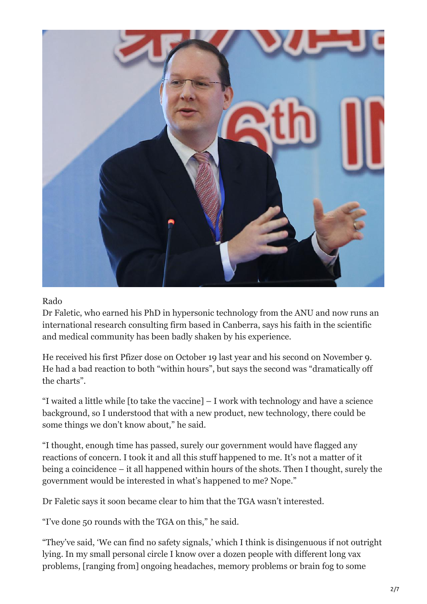

#### Rado

Dr Faletic, who earned his PhD in hypersonic technology from the ANU and now runs an international research consulting firm based in Canberra, says his faith in the scientific and medical community has been badly shaken by his experience.

He received his first Pfizer dose on October 19 last year and his second on November 9. He had a bad reaction to both "within hours", but says the second was "dramatically off the charts".

"I waited a little while [to take the vaccine] – I work with technology and have a science background, so I understood that with a new product, new technology, there could be some things we don't know about," he said.

"I thought, enough time has passed, surely our government would have flagged any reactions of concern. I took it and all this stuff happened to me. It's not a matter of it being a coincidence – it all happened within hours of the shots. Then I thought, surely the government would be interested in what's happened to me? Nope."

Dr Faletic says it soon became clear to him that the TGA wasn't interested.

"I've done 50 rounds with the TGA on this," he said.

"They've said, 'We can find no safety signals,' which I think is disingenuous if not outright lying. In my small personal circle I know over a dozen people with different long vax problems, [ranging from] ongoing headaches, memory problems or brain fog to some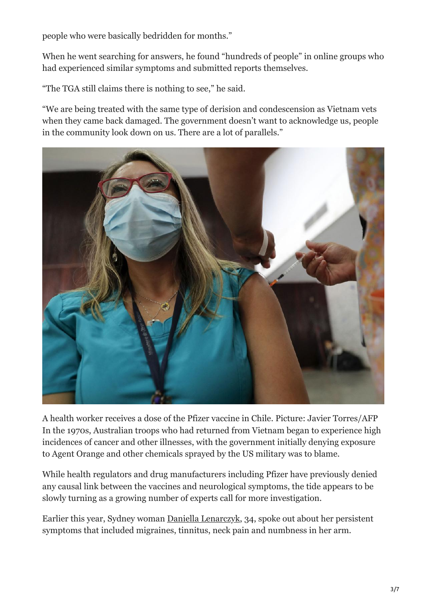people who were basically bedridden for months."

When he went searching for answers, he found "hundreds of people" in online groups who had experienced similar symptoms and submitted reports themselves.

"The TGA still claims there is nothing to see," he said.

"We are being treated with the same type of derision and condescension as Vietnam vets when they came back damaged. The government doesn't want to acknowledge us, people in the community look down on us. There are a lot of parallels."



A health worker receives a dose of the Pfizer vaccine in Chile. Picture: Javier Torres/AFP In the 1970s, Australian troops who had returned from Vietnam began to experience high incidences of cancer and other illnesses, with the government initially denying exposure to Agent Orange and other chemicals sprayed by the US military was to blame.

While health regulators and drug manufacturers including Pfizer have previously denied any causal link between the vaccines and neurological symptoms, the tide appears to be slowly turning as a growing number of experts call for more investigation.

Earlier this year, Sydney woman [Daniella Lenarczyk,](https://www.news.com.au/lifestyle/health/health-problems/they-say-its-stress-sydney-woman-seeks-answers-to-migraines-and-tinnitus-six-months-after-pfizer/news-story/03cb54afd06b6f785b762f9c1a15aa1b) 34, spoke out about her persistent symptoms that included migraines, tinnitus, neck pain and numbness in her arm.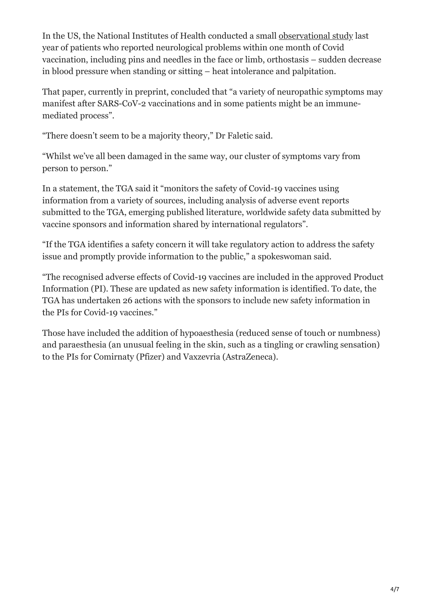In the US, the National Institutes of Health conducted a small [observational study](https://www.medrxiv.org/content/10.1101/2022.05.16.22274439v1.full-text) last year of patients who reported neurological problems within one month of Covid vaccination, including pins and needles in the face or limb, orthostasis – sudden decrease in blood pressure when standing or sitting – heat intolerance and palpitation.

That paper, currently in preprint, concluded that "a variety of neuropathic symptoms may manifest after SARS-CoV-2 vaccinations and in some patients might be an immunemediated process".

"There doesn't seem to be a majority theory," Dr Faletic said.

"Whilst we've all been damaged in the same way, our cluster of symptoms vary from person to person."

In a statement, the TGA said it "monitors the safety of Covid-19 vaccines using information from a variety of sources, including analysis of adverse event reports submitted to the TGA, emerging published literature, worldwide safety data submitted by vaccine sponsors and information shared by international regulators".

"If the TGA identifies a safety concern it will take regulatory action to address the safety issue and promptly provide information to the public," a spokeswoman said.

"The recognised adverse effects of Covid-19 vaccines are included in the approved Product Information (PI). These are updated as new safety information is identified. To date, the TGA has undertaken 26 actions with the sponsors to include new safety information in the PIs for Covid-19 vaccines."

Those have included the addition of hypoaesthesia (reduced sense of touch or numbness) and paraesthesia (an unusual feeling in the skin, such as a tingling or crawling sensation) to the PIs for Comirnaty (Pfizer) and Vaxzevria (AstraZeneca).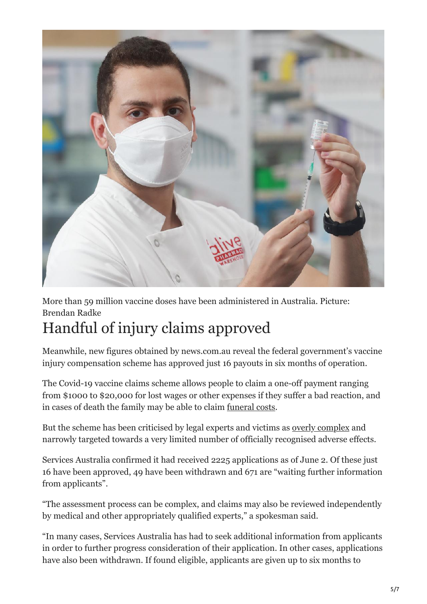

More than 59 million vaccine doses have been administered in Australia. Picture: Brendan Radke

# Handful of injury claims approved

Meanwhile, new figures obtained by news.com.au reveal the federal government's vaccine injury compensation scheme has approved just 16 payouts in six months of operation.

The Covid-19 vaccine claims scheme allows people to claim a one-off payment ranging from \$1000 to \$20,000 for lost wages or other expenses if they suffer a bad reaction, and in cases of death the family may be able to claim [funeral costs.](https://www.servicesaustralia.gov.au/deceased-covid-19-vaccine-recipient-payments-and-funeral-costs-you-can-claim-through-covid-19?context=55953)

But the scheme has been criticised by legal experts and victims as [overly complex](https://www.news.com.au/lifestyle/health/health-problems/payouts-begin-under-australias-vaccine-injury-claims-scheme/news-story/33c5f1e863c1253e1af43902f34eb575) and narrowly targeted towards a very limited number of officially recognised adverse effects.

Services Australia confirmed it had received 2225 applications as of June 2. Of these just 16 have been approved, 49 have been withdrawn and 671 are "waiting further information from applicants".

"The assessment process can be complex, and claims may also be reviewed independently by medical and other appropriately qualified experts," a spokesman said.

"In many cases, Services Australia has had to seek additional information from applicants in order to further progress consideration of their application. In other cases, applications have also been withdrawn. If found eligible, applicants are given up to six months to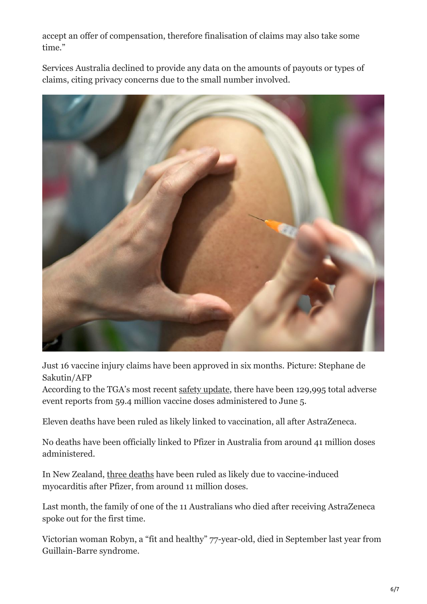accept an offer of compensation, therefore finalisation of claims may also take some time."

Services Australia declined to provide any data on the amounts of payouts or types of claims, citing privacy concerns due to the small number involved.



Just 16 vaccine injury claims have been approved in six months. Picture: Stephane de Sakutin/AFP

According to the TGA's most recent [safety update](https://www.tga.gov.au/periodic/covid-19-vaccine-weekly-safety-report-09-06-2022), there have been 129,995 total adverse event reports from 59.4 million vaccine doses administered to June 5.

Eleven deaths have been ruled as likely linked to vaccination, all after AstraZeneca.

No deaths have been officially linked to Pfizer in Australia from around 41 million doses administered.

In New Zealand, [three deaths](https://www.medsafe.govt.nz/COVID-19/safety-report-43.asp#death) have been ruled as likely due to vaccine-induced myocarditis after Pfizer, from around 11 million doses.

Last month, the family of one of the 11 Australians who died after receiving AstraZeneca spoke out for the first time.

Victorian woman Robyn, a "fit and healthy" 77-year-old, died in September last year from Guillain-Barre syndrome.